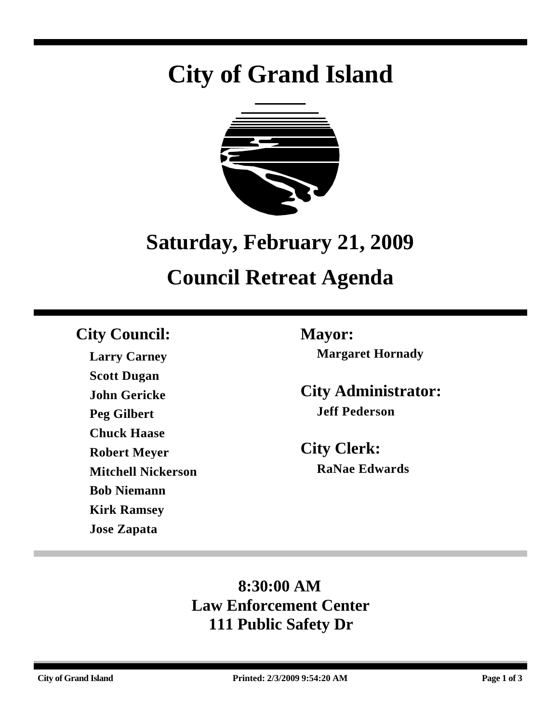# **City of Grand Island**



# **Saturday, February 21, 2009 Council Retreat Agenda**

# **City Council: Mayor:**

**Larry Carney Scott Dugan John Gericke Peg Gilbert Chuck Haase Robert Meyer Mitchell Nickerson Bob Niemann Kirk Ramsey Jose Zapata**

**Margaret Hornady**

**City Administrator: Jeff Pederson**

**City Clerk: RaNae Edwards**

# **8:30:00 AM Law Enforcement Center 111 Public Safety Dr**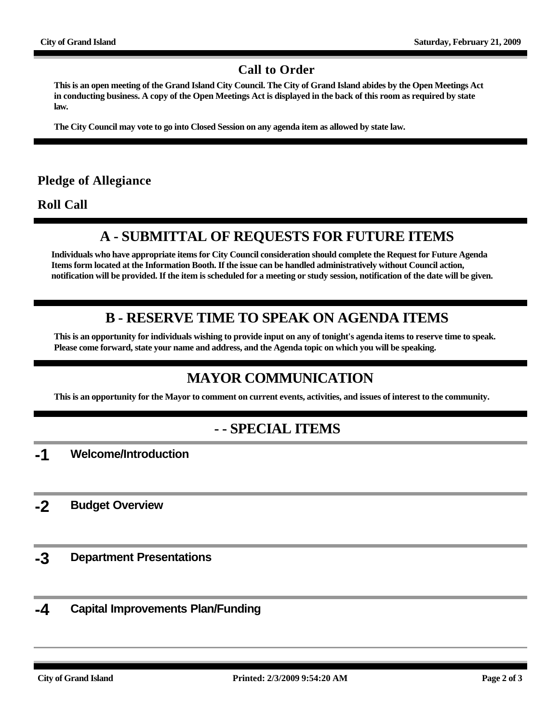#### **Call to Order**

**This is an open meeting of the Grand Island City Council. The City of Grand Island abides by the Open Meetings Act in conducting business. A copy of the Open Meetings Act is displayed in the back of this room as required by state law.**

**The City Council may vote to go into Closed Session on any agenda item as allowed by state law.**

#### **Pledge of Allegiance**

**Roll Call**

## **A - SUBMITTAL OF REQUESTS FOR FUTURE ITEMS**

**Individuals who have appropriate items for City Council consideration should complete the Request for Future Agenda Items form located at the Information Booth. If the issue can be handled administratively without Council action, notification will be provided. If the item is scheduled for a meeting or study session, notification of the date will be given.**

### **B - RESERVE TIME TO SPEAK ON AGENDA ITEMS**

**This is an opportunity for individuals wishing to provide input on any of tonight's agenda items to reserve time to speak. Please come forward, state your name and address, and the Agenda topic on which you will be speaking.**

## **MAYOR COMMUNICATION**

**This is an opportunity for the Mayor to comment on current events, activities, and issues of interest to the community.**

### **- - SPECIAL ITEMS**

**-1 Welcome/Introduction**

**-2 Budget Overview**

- **-3 Department Presentations**
- **-4 Capital Improvements Plan/Funding**